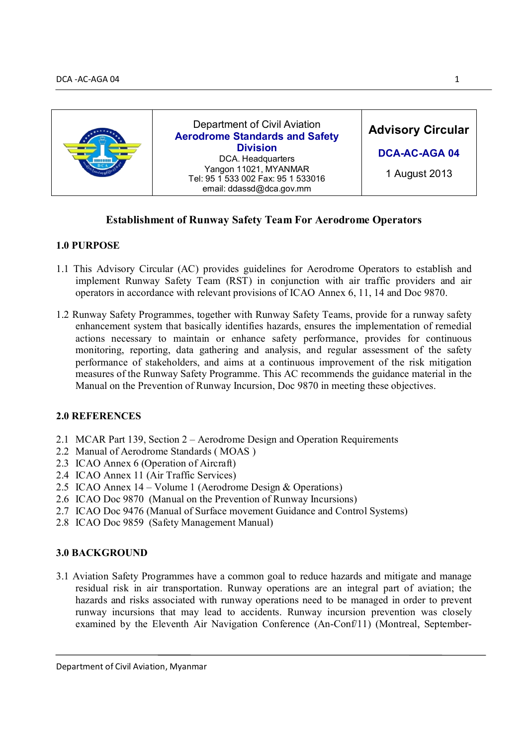

# **Establishment of Runway Safety Team For Aerodrome Operators**

### **1.0 PURPOSE**

- 1.1 This Advisory Circular (AC) provides guidelines for Aerodrome Operators to establish and implement Runway Safety Team (RST) in conjunction with air traffic providers and air operators in accordance with relevant provisions of ICAO Annex 6, 11, 14 and Doc 9870.
- 1.2 Runway Safety Programmes, together with Runway Safety Teams, provide for a runway safety enhancement system that basically identifies hazards, ensures the implementation of remedial actions necessary to maintain or enhance safety performance, provides for continuous monitoring, reporting, data gathering and analysis, and regular assessment of the safety performance of stakeholders, and aims at a continuous improvement of the risk mitigation measures of the Runway Safety Programme. This AC recommends the guidance material in the Manual on the Prevention of Runway Incursion, Doc 9870 in meeting these objectives.

### **2.0 REFERENCES**

- 2.1 MCAR Part 139, Section 2 Aerodrome Design and Operation Requirements
- 2.2 Manual of Aerodrome Standards ( MOAS )
- 2.3 ICAO Annex 6 (Operation of Aircraft)
- 2.4 ICAO Annex 11 (Air Traffic Services)
- 2.5 ICAO Annex 14 Volume 1 (Aerodrome Design & Operations)
- 2.6 ICAO Doc 9870 (Manual on the Prevention of Runway Incursions)
- 2.7 ICAO Doc 9476 (Manual of Surface movement Guidance and Control Systems)
- 2.8 ICAO Doc 9859 (Safety Management Manual)

# **3.0 BACKGROUND**

3.1 Aviation Safety Programmes have a common goal to reduce hazards and mitigate and manage residual risk in air transportation. Runway operations are an integral part of aviation; the hazards and risks associated with runway operations need to be managed in order to prevent runway incursions that may lead to accidents. Runway incursion prevention was closely examined by the Eleventh Air Navigation Conference (An-Conf/11) (Montreal, September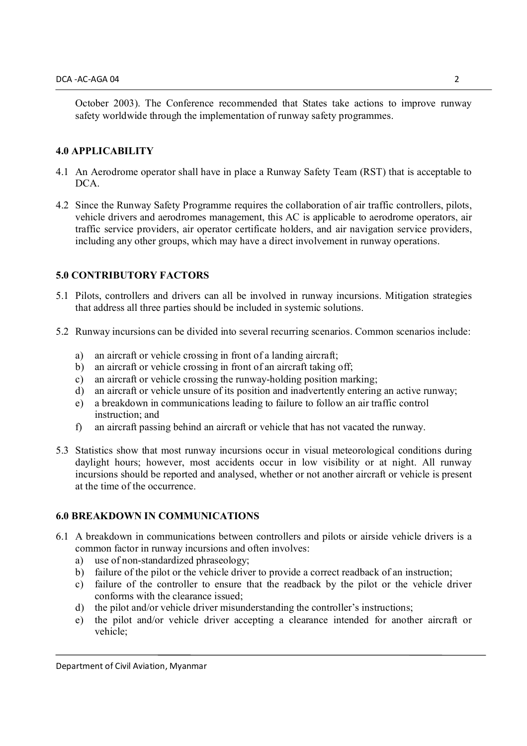October 2003). The Conference recommended that States take actions to improve runway safety worldwide through the implementation of runway safety programmes.

### **4.0 APPLICABILITY**

- 4.1 An Aerodrome operator shall have in place a Runway Safety Team (RST) that is acceptable to DCA.
- 4.2 Since the Runway Safety Programme requires the collaboration of air traffic controllers, pilots, vehicle drivers and aerodromes management, this AC is applicable to aerodrome operators, air traffic service providers, air operator certificate holders, and air navigation service providers, including any other groups, which may have a direct involvement in runway operations.

### **5.0 CONTRIBUTORY FACTORS**

- 5.1 Pilots, controllers and drivers can all be involved in runway incursions. Mitigation strategies that address all three parties should be included in systemic solutions.
- 5.2 Runway incursions can be divided into several recurring scenarios. Common scenarios include:
	- a) an aircraft or vehicle crossing in front of a landing aircraft;
	- b) an aircraft or vehicle crossing in front of an aircraft taking off;
	- c) an aircraft or vehicle crossing the runway-holding position marking;
	- d) an aircraft or vehicle unsure of its position and inadvertently entering an active runway;
	- e) a breakdown in communications leading to failure to follow an air traffic control instruction; and
	- f) an aircraft passing behind an aircraft or vehicle that has not vacated the runway.
- 5.3 Statistics show that most runway incursions occur in visual meteorological conditions during daylight hours; however, most accidents occur in low visibility or at night. All runway incursions should be reported and analysed, whether or not another aircraft or vehicle is present at the time of the occurrence.

### **6.0 BREAKDOWN IN COMMUNICATIONS**

- 6.1 A breakdown in communications between controllers and pilots or airside vehicle drivers is a common factor in runway incursions and often involves:
	- a) use of non-standardized phraseology;
	- b) failure of the pilot or the vehicle driver to provide a correct readback of an instruction;
	- c) failure of the controller to ensure that the readback by the pilot or the vehicle driver conforms with the clearance issued;
	- d) the pilot and/or vehicle driver misunderstanding the controller's instructions;
	- e) the pilot and/or vehicle driver accepting a clearance intended for another aircraft or vehicle;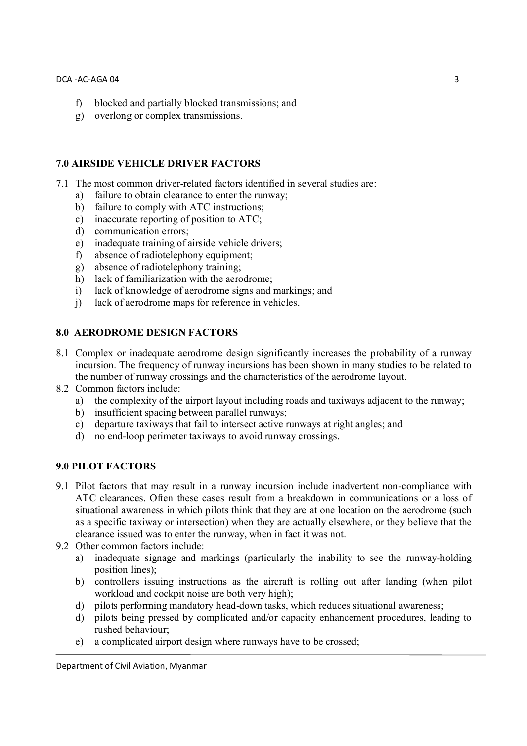- f) blocked and partially blocked transmissions; and
- g) overlong or complex transmissions.

### **7.0 AIRSIDE VEHICLE DRIVER FACTORS**

- 7.1 The most common driver-related factors identified in several studies are:
	- a) failure to obtain clearance to enter the runway;
	- b) failure to comply with ATC instructions;
	- c) inaccurate reporting of position to ATC;
	- d) communication errors;
	- e) inadequate training of airside vehicle drivers;
	- f) absence of radiotelephony equipment;
	- g) absence of radiotelephony training;
	- h) lack of familiarization with the aerodrome:
	- i) lack of knowledge of aerodrome signs and markings; and
	- j) lack of aerodrome maps for reference in vehicles.

#### **8.0 AERODROME DESIGN FACTORS**

- 8.1 Complex or inadequate aerodrome design significantly increases the probability of a runway incursion. The frequency of runway incursions has been shown in many studies to be related to the number of runway crossings and the characteristics of the aerodrome layout.
- 8.2 Common factors include:
	- a) the complexity of the airport layout including roads and taxiways adjacent to the runway;
	- b) insufficient spacing between parallel runways;
	- c) departure taxiways that fail to intersect active runways at right angles; and
	- d) no end-loop perimeter taxiways to avoid runway crossings.

### **9.0 PILOT FACTORS**

- 9.1 Pilot factors that may result in a runway incursion include inadvertent non-compliance with ATC clearances. Often these cases result from a breakdown in communications or a loss of situational awareness in which pilots think that they are at one location on the aerodrome (such as a specific taxiway or intersection) when they are actually elsewhere, or they believe that the clearance issued was to enter the runway, when in fact it was not.
- 9.2 Other common factors include:
	- a) inadequate signage and markings (particularly the inability to see the runway-holding position lines);
	- b) controllers issuing instructions as the aircraft is rolling out after landing (when pilot workload and cockpit noise are both very high);
	- d) pilots performing mandatory head-down tasks, which reduces situational awareness;
	- d) pilots being pressed by complicated and/or capacity enhancement procedures, leading to rushed behaviour;
	- e) a complicated airport design where runways have to be crossed;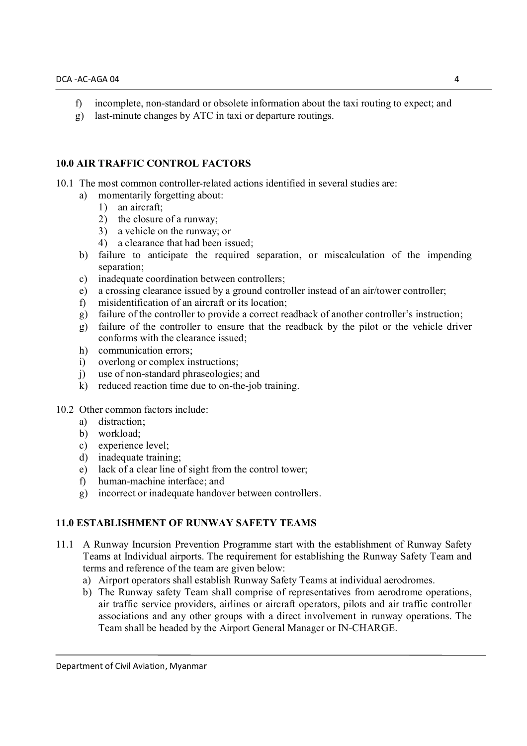- f) incomplete, non-standard or obsolete information about the taxi routing to expect; and
- g) last-minute changes by ATC in taxi or departure routings.

### **10.0 AIR TRAFFIC CONTROL FACTORS**

10.1 The most common controller-related actions identified in several studies are:

- a) momentarily forgetting about:
	- 1) an aircraft;
	- 2) the closure of a runway;
	- 3) a vehicle on the runway; or
	- 4) a clearance that had been issued;
- b) failure to anticipate the required separation, or miscalculation of the impending separation;
- c) inadequate coordination between controllers;
- e) a crossing clearance issued by a ground controller instead of an air/tower controller;
- f) misidentification of an aircraft or its location;
- g) failure of the controller to provide a correct readback of another controller's instruction;
- g) failure of the controller to ensure that the readback by the pilot or the vehicle driver conforms with the clearance issued;
- h) communication errors;
- i) overlong or complex instructions;
- j) use of non-standard phraseologies; and
- k) reduced reaction time due to on-the-job training.

#### 10.2 Other common factors include:

- a) distraction;
- b) workload;
- c) experience level;
- d) inadequate training;
- e) lack of a clear line of sight from the control tower;
- f) human-machine interface; and
- g) incorrect or inadequate handover between controllers.

### **11.0 ESTABLISHMENT OF RUNWAY SAFETY TEAMS**

- 11.1 A Runway Incursion Prevention Programme start with the establishment of Runway Safety Teams at Individual airports. The requirement for establishing the Runway Safety Team and terms and reference of the team are given below:
	- a) Airport operators shall establish Runway Safety Teams at individual aerodromes.
	- b) The Runway safety Team shall comprise of representatives from aerodrome operations, air traffic service providers, airlines or aircraft operators, pilots and air traffic controller associations and any other groups with a direct involvement in runway operations. The Team shall be headed by the Airport General Manager or IN-CHARGE.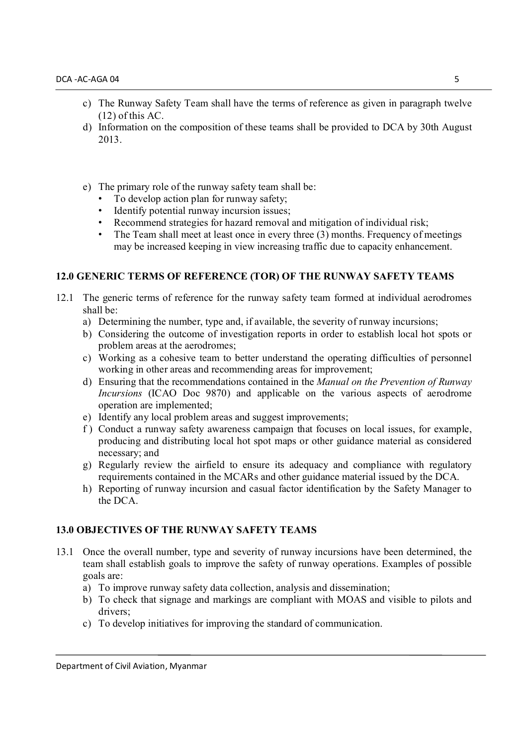- c) The Runway Safety Team shall have the terms of reference as given in paragraph twelve (12) of this AC.
- d) Information on the composition of these teams shall be provided to DCA by 30th August 2013.
- e) The primary role of the runway safety team shall be:
	- To develop action plan for runway safety;
	- Identify potential runway incursion issues;
	- Recommend strategies for hazard removal and mitigation of individual risk;
	- The Team shall meet at least once in every three (3) months. Frequency of meetings may be increased keeping in view increasing traffic due to capacity enhancement.

# **12.0 GENERIC TERMS OF REFERENCE (TOR) OF THE RUNWAY SAFETY TEAMS**

- 12.1 The generic terms of reference for the runway safety team formed at individual aerodromes shall be:
	- a) Determining the number, type and, if available, the severity of runway incursions;
	- b) Considering the outcome of investigation reports in order to establish local hot spots or problem areas at the aerodromes;
	- c) Working as a cohesive team to better understand the operating difficulties of personnel working in other areas and recommending areas for improvement;
	- d) Ensuring that the recommendations contained in the *Manual on the Prevention of Runway Incursions* (ICAO Doc 9870) and applicable on the various aspects of aerodrome operation are implemented;
	- e) Identify any local problem areas and suggest improvements;
	- f ) Conduct a runway safety awareness campaign that focuses on local issues, for example, producing and distributing local hot spot maps or other guidance material as considered necessary; and
	- g) Regularly review the airfield to ensure its adequacy and compliance with regulatory requirements contained in the MCARs and other guidance material issued by the DCA.
	- h) Reporting of runway incursion and casual factor identification by the Safety Manager to the DCA.

# **13.0 OBJECTIVES OF THE RUNWAY SAFETY TEAMS**

- 13.1 Once the overall number, type and severity of runway incursions have been determined, the team shall establish goals to improve the safety of runway operations. Examples of possible goals are:
	- a) To improve runway safety data collection, analysis and dissemination;
	- b) To check that signage and markings are compliant with MOAS and visible to pilots and drivers;
	- c) To develop initiatives for improving the standard of communication.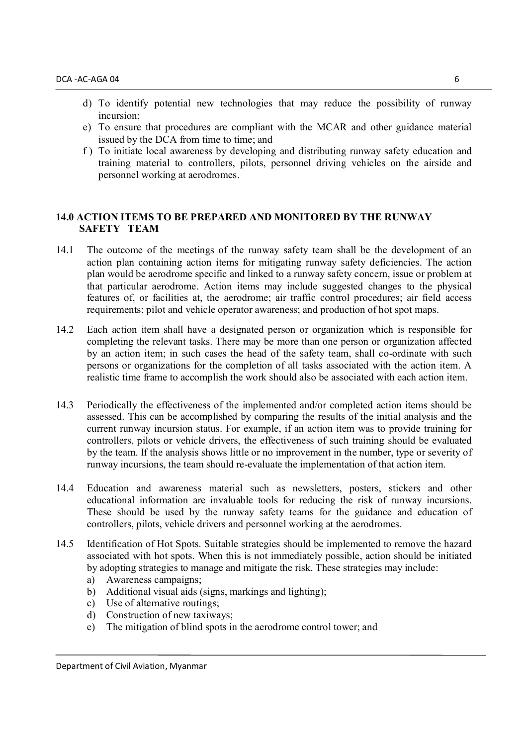- d) To identify potential new technologies that may reduce the possibility of runway incursion;
- e) To ensure that procedures are compliant with the MCAR and other guidance material issued by the DCA from time to time; and
- f ) To initiate local awareness by developing and distributing runway safety education and training material to controllers, pilots, personnel driving vehicles on the airside and personnel working at aerodromes.

#### **14.0 ACTION ITEMS TO BE PREPARED AND MONITORED BY THE RUNWAY SAFETY TEAM**

- 14.1 The outcome of the meetings of the runway safety team shall be the development of an action plan containing action items for mitigating runway safety deficiencies. The action plan would be aerodrome specific and linked to a runway safety concern, issue or problem at that particular aerodrome. Action items may include suggested changes to the physical features of, or facilities at, the aerodrome; air traffic control procedures; air field access requirements; pilot and vehicle operator awareness; and production of hot spot maps.
- 14.2 Each action item shall have a designated person or organization which is responsible for completing the relevant tasks. There may be more than one person or organization affected by an action item; in such cases the head of the safety team, shall co-ordinate with such persons or organizations for the completion of all tasks associated with the action item. A realistic time frame to accomplish the work should also be associated with each action item.
- 14.3 Periodically the effectiveness of the implemented and/or completed action items should be assessed. This can be accomplished by comparing the results of the initial analysis and the current runway incursion status. For example, if an action item was to provide training for controllers, pilots or vehicle drivers, the effectiveness of such training should be evaluated by the team. If the analysis shows little or no improvement in the number, type or severity of runway incursions, the team should re-evaluate the implementation of that action item.
- 14.4 Education and awareness material such as newsletters, posters, stickers and other educational information are invaluable tools for reducing the risk of runway incursions. These should be used by the runway safety teams for the guidance and education of controllers, pilots, vehicle drivers and personnel working at the aerodromes.
- 14.5 Identification of Hot Spots. Suitable strategies should be implemented to remove the hazard associated with hot spots. When this is not immediately possible, action should be initiated by adopting strategies to manage and mitigate the risk. These strategies may include:
	- a) Awareness campaigns;
	- b) Additional visual aids (signs, markings and lighting);
	- c) Use of alternative routings;
	- d) Construction of new taxiways;
	- e) The mitigation of blind spots in the aerodrome control tower; and